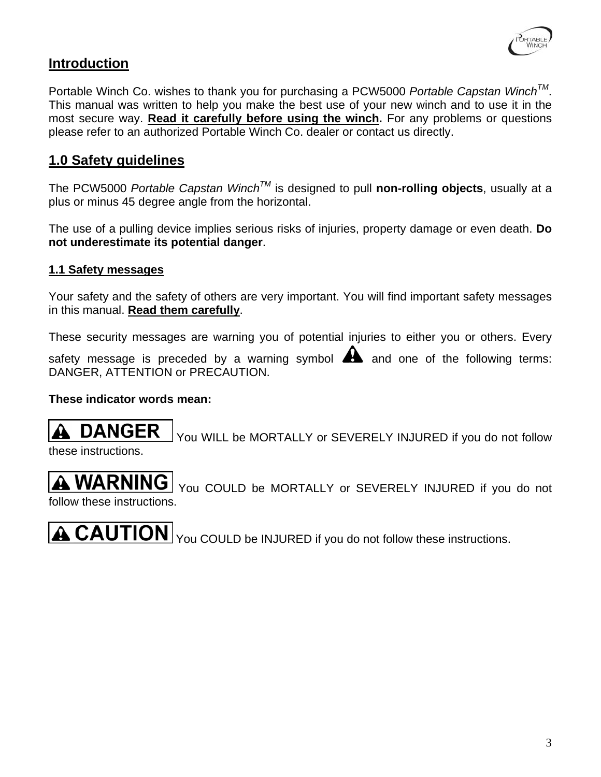

## **Introduction**

Portable Winch Co. wishes to thank you for purchasing a PCW5000 *Portable Capstan WinchTM*. This manual was written to help you make the best use of your new winch and to use it in the most secure way. **Read it carefully before using the winch.** For any problems or questions please refer to an authorized Portable Winch Co. dealer or contact us directly.

### **1.0 Safety guidelines**

The PCW5000 *Portable Capstan WinchTM* is designed to pull **non-rolling objects**, usually at a plus or minus 45 degree angle from the horizontal.

The use of a pulling device implies serious risks of injuries, property damage or even death. **Do not underestimate its potential danger**.

#### **1.1 Safety messages**

Your safety and the safety of others are very important. You will find important safety messages in this manual. **Read them carefully**.

These security messages are warning you of potential injuries to either you or others. Every

safety message is preceded by a warning symbol  $\blacktriangle$  and one of the following terms: DANGER, ATTENTION or PRECAUTION.

#### **These indicator words mean:**

**DANGER**  You WILL be MORTALLY or SEVERELY INJURED if you do not follow these instructions.

**A WARNING** You COULD be MORTALLY or SEVERELY INJURED if you do not follow these instructions.

**A CAUTION** You COULD be INJURED if you do not follow these instructions.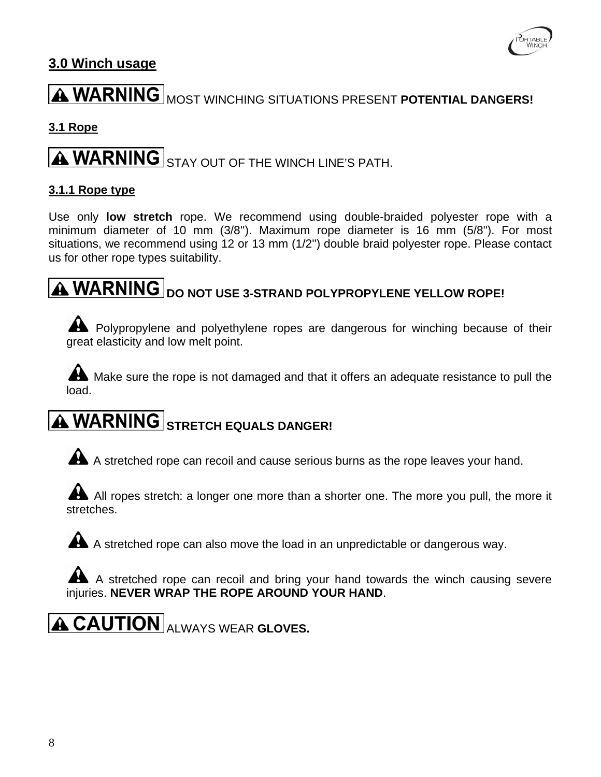

## **3.0 Winch usage**

# **A WARNING** MOST WINCHING SITUATIONS PRESENT POTENTIAL DANGERS!

#### **3.1 Rope**

# **A WARNING** STAY OUT OF THE WINCH LINE'S PATH.

#### **3.1.1 Rope type**

Use only **low stretch** rope. We recommend using double-braided polyester rope with a minimum diameter of 10 mm (3/8''). Maximum rope diameter is 16 mm (5/8"). For most situations, we recommend using 12 or 13 mm (1/2'') double braid polyester rope. Please contact us for other rope types suitability.

# **A WARNING** DO NOT USE 3-STRAND POLYPROPYLENE YELLOW ROPE!

A Polypropylene and polyethylene ropes are dangerous for winching because of their great elasticity and low melt point.

A Make sure the rope is not damaged and that it offers an adequate resistance to pull the load.

# **A WARNING** STRETCH EQUALS DANGER!

A A stretched rope can recoil and cause serious burns as the rope leaves your hand.

All ropes stretch: a longer one more than a shorter one. The more you pull, the more it stretches.

A A stretched rope can also move the load in an unpredictable or dangerous way.

A A stretched rope can recoil and bring your hand towards the winch causing severe injuries. **NEVER WRAP THE ROPE AROUND YOUR HAND**.

**A CAUTION** ALWAYS WEAR GLOVES.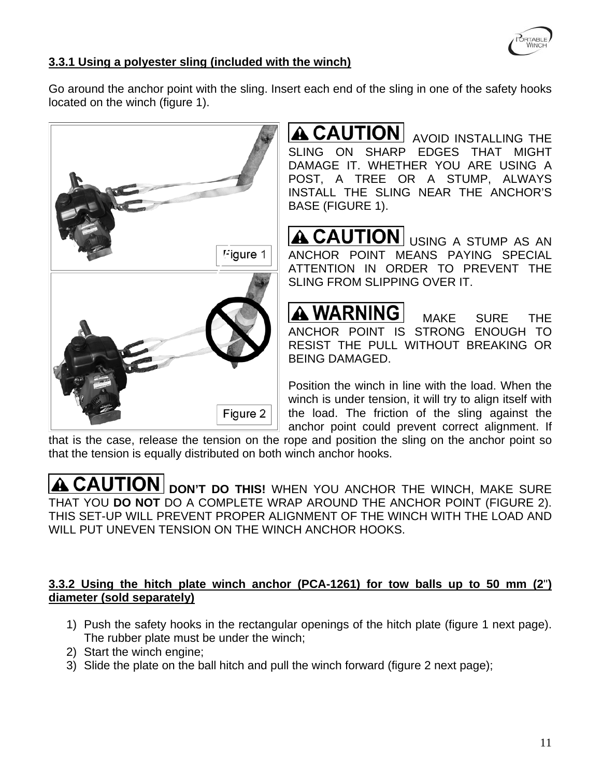

#### **3.3.1 Using a polyester sling (included with the winch)**

Go around the anchor point with the sling. Insert each end of the sling in one of the safety hooks located on the winch (figure 1).



**A CAUTION** AVOID INSTALLING THE SLING ON SHARP EDGES THAT MIGHT DAMAGE IT. WHETHER YOU ARE USING A POST, A TREE OR A STUMP, ALWAYS INSTALL THE SLING NEAR THE ANCHOR'S BASE (FIGURE 1).

A CAUTION USING A STUMP AS AN ANCHOR POINT MEANS PAYING SPECIAL ATTENTION IN ORDER TO PREVENT THE SLING FROM SLIPPING OVER IT.

**A WARNING** MAKE SURE THE ANCHOR POINT IS STRONG ENOUGH TO RESIST THE PULL WITHOUT BREAKING OR BEING DAMAGED.

Position the winch in line with the load. When the winch is under tension, it will try to align itself with the load. The friction of the sling against the anchor point could prevent correct alignment. If

that is the case, release the tension on the rope and position the sling on the anchor point so that the tension is equally distributed on both winch anchor hooks.

**A CAUTION** DON'T DO THIS! WHEN YOU ANCHOR THE WINCH, MAKE SURE THAT YOU **DO NOT** DO A COMPLETE WRAP AROUND THE ANCHOR POINT (FIGURE 2). THIS SET-UP WILL PREVENT PROPER ALIGNMENT OF THE WINCH WITH THE LOAD AND WILL PUT UNEVEN TENSION ON THE WINCH ANCHOR HOOKS.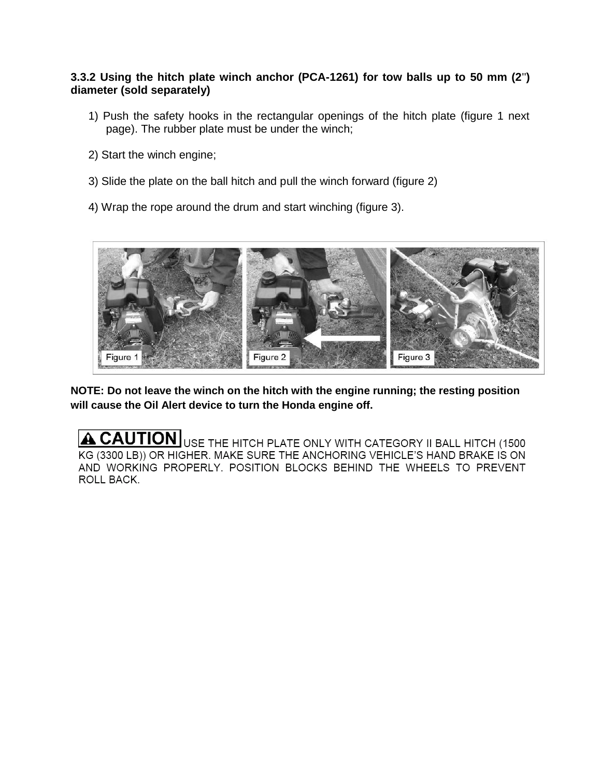#### **3.3.2 Using the hitch plate winch anchor (PCA-1261) for tow balls up to 50 mm (2**''**) diameter (sold separately)**

- 1) Push the safety hooks in the rectangular openings of the hitch plate (figure 1 next page). The rubber plate must be under the winch;
- 2) Start the winch engine;
- 3) Slide the plate on the ball hitch and pull the winch forward (figure 2)
- 4) Wrap the rope around the drum and start winching (figure 3).



**NOTE: Do not leave the winch on the hitch with the engine running; the resting position will cause the Oil Alert device to turn the Honda engine off.**

A CAUTION USE THE HITCH PLATE ONLY WITH CATEGORY II BALL HITCH (1500 KG (3300 LB)) OR HIGHER. MAKE SURE THE ANCHORING VEHICLE'S HAND BRAKE IS ON AND WORKING PROPERLY. POSITION BLOCKS BEHIND THE WHEELS TO PREVENT ROLL BACK.